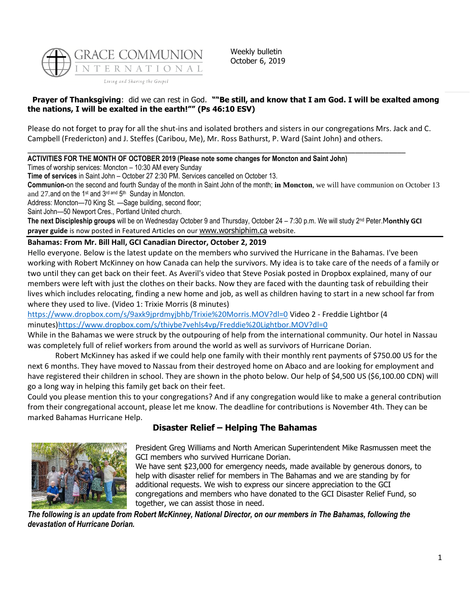

Weekly bulletin October 6, 2019

## **Prayer of Thanksgiving**: did we can rest in God. **""Be still, and know that I am God. I will be exalted among the nations, I will be exalted in the earth!"" (Ps 46:10 ESV)**

Please do not forget to pray for all the shut-ins and isolated brothers and sisters in our congregations Mrs. Jack and C. Campbell (Fredericton) and J. Steffes (Caribou, Me), Mr. Ross Bathurst, P. Ward (Saint John) and others.

\_\_\_\_\_\_\_\_\_\_\_\_\_\_\_\_\_\_\_\_\_\_\_\_\_\_\_\_\_\_\_\_\_\_\_\_\_\_\_\_\_\_\_\_\_\_\_\_\_\_\_\_\_\_\_\_\_\_\_\_\_\_\_\_\_\_\_\_\_\_\_\_\_\_\_\_\_\_\_\_\_\_\_\_\_\_\_\_\_\_

**ACTIVITIES FOR THE MONTH OF OCTOBER 2019 (Please note some changes for Moncton and Saint John)**

Times of worship services: Moncton – 10:30 AM every Sunday

**Time of services** in Saint John – October 27 2:30 PM. Services cancelled on October 13.

**Communion-**on the second and fourth Sunday of the month in Saint John of the month; **in Moncton**, we will have communion on October 13 and 27. and on the 1<sup>st</sup> and  $3^{rd}$  and  $5^{th}$  Sunday in Moncton.

Address: Moncton—70 King St. —Sage building, second floor;

Saint John—50 Newport Cres., Portland United church.

The next Discipleship groups will be on Wednesday October 9 and Thursday, October 24 – 7:30 p.m. We will study 2<sup>nd</sup> Peter.Monthly GCI **prayer guide** is now posted in Featured Articles on our [www.worshiphim.ca](http://www.worshiphim.ca/) website.

### **Bahamas: From Mr. Bill Hall, GCI Canadian Director, October 2, 2019**

Hello everyone. Below is the latest update on the members who survived the Hurricane in the Bahamas. I've been working with Robert McKinney on how Canada can help the survivors. My idea is to take care of the needs of a family or two until they can get back on their feet. As Averil's video that Steve Posiak posted in Dropbox explained, many of our members were left with just the clothes on their backs. Now they are faced with the daunting task of rebuilding their lives which includes relocating, finding a new home and job, as well as children having to start in a new school far from where they used to live. (Video 1: Trixie Morris (8 minutes)

<https://www.dropbox.com/s/9axk9jprdmyjbhb/Trixie%20Morris.MOV?dl=0> Video 2 - Freddie Lightbor (4 minutes[\)https://www.dropbox.com/s/thiybe7vehls4vp/Freddie%20Lightbor.MOV?dl=0](https://eur03.safelinks.protection.outlook.com/?url=https%3A%2F%2Fwww.dropbox.com%2Fs%2Fthiybe7vehls4vp%2FFreddie+Lightbor.MOV%3Fdl%3D0&data=02%7C01%7C%7Ca15b9fc96d8f46d9099908d7407aac58%7C84df9e7fe9f640afb435aaaaaaaaaaaa%7C1%7C0%7C637048767924942928&sdata=GOFd7srzHE3MWYcewmFtOWwyt2o7oIrISLdys9SKYfU%3D&reserved=0)

While in the Bahamas we were struck by the outpouring of help from the international community. Our hotel in Nassau was completely full of relief workers from around the world as well as survivors of Hurricane Dorian.

Robert McKinney has asked if we could help one family with their monthly rent payments of \$750.00 US for the next 6 months. They have moved to Nassau from their destroyed home on Abaco and are looking for employment and have registered their children in school. They are shown in the photo below. Our help of \$4,500 US (\$6,100.00 CDN) will go a long way in helping this family get back on their feet.

Could you please mention this to your congregations? And if any congregation would like to make a general contribution from their congregational account, please let me know. The deadline for contributions is November 4th. They can be marked Bahamas Hurricane Help.

## **Disaster Relief – Helping The Bahamas**



President Greg Williams and North American Superintendent Mike Rasmussen meet the GCI members who survived Hurricane Dorian.

We have sent \$23,000 for emergency needs, made available by generous donors, to help with disaster relief for members in The Bahamas and we are standing by for additional requests. We wish to express our sincere appreciation to the GCI congregations and members who have donated to the GCI Disaster Relief Fund, so together, we can assist those in need.

*The following is an update from Robert McKinney, National Director, on our members in The Bahamas, following the devastation of Hurricane Dorian.*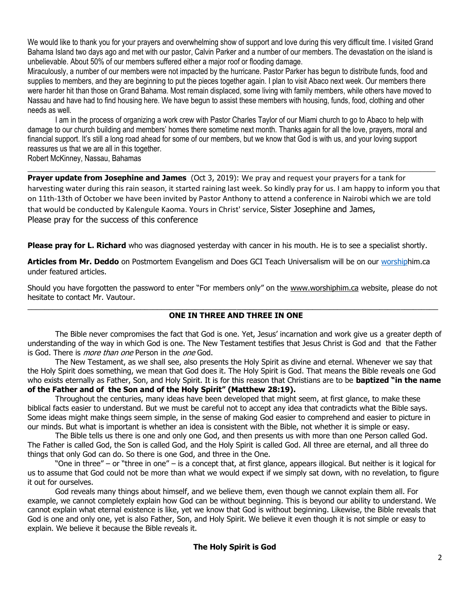We would like to thank you for your prayers and overwhelming show of support and love during this very difficult time. I visited Grand Bahama Island two days ago and met with our pastor, Calvin Parker and a number of our members. The devastation on the island is unbelievable. About 50% of our members suffered either a major roof or flooding damage.

Miraculously, a number of our members were not impacted by the hurricane. Pastor Parker has begun to distribute funds, food and supplies to members, and they are beginning to put the pieces together again. I plan to visit Abaco next week. Our members there were harder hit than those on Grand Bahama. Most remain displaced, some living with family members, while others have moved to Nassau and have had to find housing here. We have begun to assist these members with housing, funds, food, clothing and other needs as well.

I am in the process of organizing a work crew with Pastor Charles Taylor of our Miami church to go to Abaco to help with damage to our church building and members' homes there sometime next month. Thanks again for all the love, prayers, moral and financial support. It's still a long road ahead for some of our members, but we know that God is with us, and your loving support reassures us that we are all in this together.

Robert McKinney, Nassau, Bahamas \_\_\_\_\_\_\_\_\_\_\_\_\_\_\_\_\_\_\_\_\_\_\_\_\_\_\_\_\_\_\_\_\_\_\_\_\_\_\_\_\_\_\_\_\_\_\_\_\_\_\_\_\_\_\_\_\_\_\_\_\_\_\_\_\_\_\_\_\_\_\_\_\_\_\_\_\_\_\_\_\_\_\_\_\_\_\_\_\_\_\_\_\_\_\_\_\_\_\_\_\_\_\_\_\_\_

**Prayer update from Josephine and James** (Oct 3, 2019): We pray and request your prayers for a tank for harvesting water during this rain season, it started raining last week. So kindly pray for us. I am happy to inform you that on 11th-13th of October we have been invited by Pastor Anthony to attend a conference in Nairobi which we are told that would be conducted by Kalengule Kaoma. Yours in Christ' service, Sister Josephine and James, Please pray for the success of this conference

**Please pray for L. Richard** who was diagnosed yesterday with cancer in his mouth. He is to see a specialist shortly.

**Articles from Mr. Deddo** on Postmortem Evangelism and Does GCI Teach Universalism will be on our [worshiph](mailto:website@worshiphim.ca)im.ca under featured articles.

Should you have forgotten the password to enter "For members only" on the [www.worshiphim.ca](http://www.worshiphim.ca/) website, please do not hesitate to contact Mr. Vautour.

### $\_$  ,  $\_$  ,  $\_$  ,  $\_$  ,  $\_$  ,  $\_$  ,  $\_$  ,  $\_$  ,  $\_$  ,  $\_$  ,  $\_$  ,  $\_$  ,  $\_$  ,  $\_$  ,  $\_$  ,  $\_$  ,  $\_$  ,  $\_$  ,  $\_$  ,  $\_$  ,  $\_$  ,  $\_$  ,  $\_$  ,  $\_$  ,  $\_$  ,  $\_$  ,  $\_$  ,  $\_$  ,  $\_$  ,  $\_$  ,  $\_$  ,  $\_$  ,  $\_$  ,  $\_$  ,  $\_$  ,  $\_$  ,  $\_$  , **ONE IN THREE AND THREE IN ONE**

The Bible never compromises the fact that God is one. Yet, Jesus' incarnation and work give us a greater depth of understanding of the way in which God is one. The New Testament testifies that Jesus Christ is God and that the Father is God. There is *more than one* Person in the *one* God.

The New Testament, as we shall see, also presents the Holy Spirit as divine and eternal. Whenever we say that the Holy Spirit does something, we mean that God does it. The Holy Spirit is God. That means the Bible reveals one God who exists eternally as Father, Son, and Holy Spirit. It is for this reason that Christians are to be **baptized "in the name** 

# **of the Father and of the Son and of the Holy Spirit" (Matthew 28:19).**

Throughout the centuries, many ideas have been developed that might seem, at first glance, to make these biblical facts easier to understand. But we must be careful not to accept any idea that contradicts what the Bible says. Some ideas might make things seem simple, in the sense of making God easier to comprehend and easier to picture in our minds. But what is important is whether an idea is consistent with the Bible, not whether it is simple or easy.

The Bible tells us there is one and only one God, and then presents us with more than one Person called God. The Father is called God, the Son is called God, and the Holy Spirit is called God. All three are eternal, and all three do things that only God can do. So there is one God, and three in the One.

"One in three" – or "three in one" – is a concept that, at first glance, appears illogical. But neither is it logical for us to assume that God could not be more than what we would expect if we simply sat down, with no revelation, to figure it out for ourselves.

God reveals many things about himself, and we believe them, even though we cannot explain them all. For example, we cannot completely explain how God can be without beginning. This is beyond our ability to understand. We cannot explain what eternal existence is like, yet we know that God is without beginning. Likewise, the Bible reveals that God is one and only one, yet is also Father, Son, and Holy Spirit. We believe it even though it is not simple or easy to explain. We believe it because the Bible reveals it.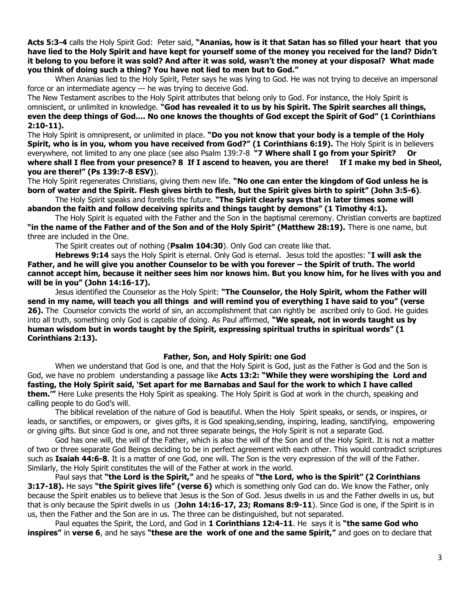**Acts 5:3-4** calls the Holy Spirit God: Peter said, **"Ananias, how is it that Satan has so filled your heart that you have lied to the Holy Spirit and have kept for yourself some of the money you received for the land? Didn't it belong to you before it was sold? And after it was sold, wasn't the money at your disposal? What made you think of doing such a thing? You have not lied to men but to God."** 

When Ananias lied to the Holy Spirit, Peter says he was lying to God. He was not trying to deceive an impersonal force or an intermediate agency — he was trying to deceive God.

The New Testament ascribes to the Holy Spirit attributes that belong only to God. For instance, the Holy Spirit is omniscient, or unlimited in knowledge. **"God has revealed it to us by his Spirit. The Spirit searches all things, even the deep things of God.... No one knows the thoughts of God except the Spirit of God" (1 Corinthians 2:10-11).** 

The Holy Spirit is omnipresent, or unlimited in place. **"Do you not know that your body is a temple of the Holy Spirit, who is in you, whom you have received from God?" (1 Corinthians 6:19).** The Holy Spirit is in believers everywhere, not limited to any one place (see also Psalm 139:7-8 **"7 Where shall I go from your Spirit? Or where shall I flee from your presence? 8 If I ascend to heaven, you are there! If I make my bed in Sheol, you are there!" (Ps 139:7-8 ESV)**).

The Holy Spirit regenerates Christians, giving them new life. **"No one can enter the kingdom of God unless he is born of water and the Spirit. Flesh gives birth to flesh, but the Spirit gives birth to spirit" (John 3:5-6)**.

The Holy Spirit speaks and foretells the future. **"The Spirit clearly says that in later times some will abandon the faith and follow deceiving spirits and things taught by demons" (1 Timothy 4:1).** 

The Holy Spirit is equated with the Father and the Son in the baptismal ceremony. Christian converts are baptized **"in the name of the Father and of the Son and of the Holy Spirit" (Matthew 28:19).** There is one name, but three are included in the One.

The Spirit creates out of nothing (**Psalm 104:30**). Only God can create like that.

**Hebrews 9:14** says the Holy Spirit is eternal. Only God is eternal. Jesus told the apostles: "**I will ask the Father, and he will give you another Counselor to be with you forever – the Spirit of truth. The world cannot accept him, because it neither sees him nor knows him. But you know him, for he lives with you and will be in you" (John 14:16-17).** 

Jesus identified the Counselor as the Holy Spirit: **"The Counselor, the Holy Spirit, whom the Father will send in my name, will teach you all things and will remind you of everything I have said to you" (verse 26).** The Counselor convicts the world of sin, an accomplishment that can rightly be ascribed only to God. He guides into all truth, something only God is capable of doing. As Paul affirmed, **"We speak, not in words taught us by human wisdom but in words taught by the Spirit, expressing spiritual truths in spiritual words" (1 Corinthians 2:13).**

### **Father, Son, and Holy Spirit: one God**

When we understand that God is one, and that the Holy Spirit is God, just as the Father is God and the Son is God, we have no problem understanding a passage like **Acts 13:2: "While they were worshiping the Lord and fasting, the Holy Spirit said, 'Set apart for me Barnabas and Saul for the work to which I have called them.'"** Here Luke presents the Holy Spirit as speaking. The Holy Spirit is God at work in the church, speaking and calling people to do God's will.

The biblical revelation of the nature of God is beautiful. When the Holy Spirit speaks, or sends, or inspires, or leads, or sanctifies, or empowers, or gives gifts, it is God speaking, sending, inspiring, leading, sanctifying, empowering or giving gifts. But since God is one, and not three separate beings, the Holy Spirit is not a separate God.

God has one will, the will of the Father, which is also the will of the Son and of the Holy Spirit. It is not a matter of two or three separate God Beings deciding to be in perfect agreement with each other. This would contradict scriptures such as **Isaiah 44:6-8**. It is a matter of one God, one will. The Son is the very expression of the will of the Father. Similarly, the Holy Spirit constitutes the will of the Father at work in the world.

Paul says that **"the Lord is the Spirit,"** and he speaks of **"the Lord, who is the Spirit" (2 Corinthians 3:17-18).** He says **"the Spirit gives life" (verse 6)** which is something only God can do. We know the Father, only because the Spirit enables us to believe that Jesus is the Son of God. Jesus dwells in us and the Father dwells in us, but that is only because the Spirit dwells in us (**John 14:16-17, 23; Romans 8:9-11**). Since God is one, if the Spirit is in us, then the Father and the Son are in us. The three can be distinguished, but not separated.

Paul equates the Spirit, the Lord, and God in **1 Corinthians 12:4-11**. He says it is **"the same God who inspires"** in **verse 6**, and he says **"these are the work of one and the same Spirit,"** and goes on to declare that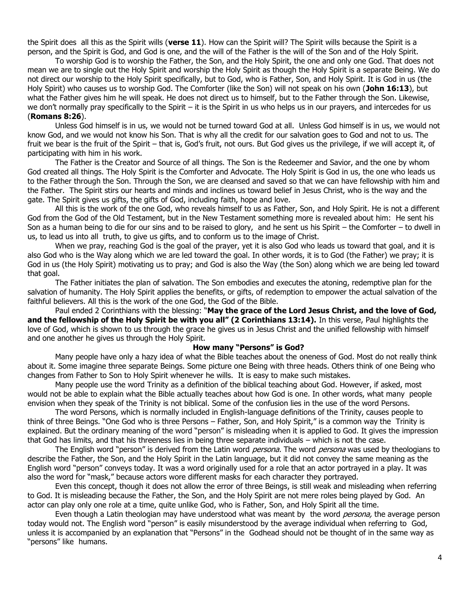the Spirit does all this as the Spirit wills (**verse 11**). How can the Spirit will? The Spirit wills because the Spirit is a person, and the Spirit is God, and God is one, and the will of the Father is the will of the Son and of the Holy Spirit.

To worship God is to worship the Father, the Son, and the Holy Spirit, the one and only one God. That does not mean we are to single out the Holy Spirit and worship the Holy Spirit as though the Holy Spirit is a separate Being. We do not direct our worship to the Holy Spirit specifically, but to God, who is Father, Son, and Holy Spirit. It is God in us (the Holy Spirit) who causes us to worship God. The Comforter (like the Son) will not speak on his own (**John 16:13**), but what the Father gives him he will speak. He does not direct us to himself, but to the Father through the Son. Likewise, we don't normally pray specifically to the Spirit – it is the Spirit in us who helps us in our prayers, and intercedes for us (**Romans 8:26**).

Unless God himself is in us, we would not be turned toward God at all. Unless God himself is in us, we would not know God, and we would not know his Son. That is why all the credit for our salvation goes to God and not to us. The fruit we bear is the fruit of the Spirit – that is, God's fruit, not ours. But God gives us the privilege, if we will accept it, of participating with him in his work.

The Father is the Creator and Source of all things. The Son is the Redeemer and Savior, and the one by whom God created all things. The Holy Spirit is the Comforter and Advocate. The Holy Spirit is God in us, the one who leads us to the Father through the Son. Through the Son, we are cleansed and saved so that we can have fellowship with him and the Father. The Spirit stirs our hearts and minds and inclines us toward belief in Jesus Christ, who is the way and the gate. The Spirit gives us gifts, the gifts of God, including faith, hope and love.

All this is the work of the one God, who reveals himself to us as Father, Son, and Holy Spirit. He is not a different God from the God of the Old Testament, but in the New Testament something more is revealed about him: He sent his Son as a human being to die for our sins and to be raised to glory, and he sent us his Spirit – the Comforter – to dwell in us, to lead us into all truth, to give us gifts, and to conform us to the image of Christ.

When we pray, reaching God is the goal of the prayer, yet it is also God who leads us toward that goal, and it is also God who is the Way along which we are led toward the goal. In other words, it is to God (the Father) we pray; it is God in us (the Holy Spirit) motivating us to pray; and God is also the Way (the Son) along which we are being led toward that goal.

The Father initiates the plan of salvation. The Son embodies and executes the atoning, redemptive plan for the salvation of humanity. The Holy Spirit applies the benefits, or gifts, of redemption to empower the actual salvation of the faithful believers. All this is the work of the one God, the God of the Bible.

Paul ended 2 Corinthians with the blessing: "**May the grace of the Lord Jesus Christ, and the love of God, and the fellowship of the Holy Spirit be with you all" (2 Corinthians 13:14).** In this verse, Paul highlights the love of God, which is shown to us through the grace he gives us in Jesus Christ and the unified fellowship with himself and one another he gives us through the Holy Spirit.

#### **How many "Persons" is God?**

Many people have only a hazy idea of what the Bible teaches about the oneness of God. Most do not really think about it. Some imagine three separate Beings. Some picture one Being with three heads. Others think of one Being who changes from Father to Son to Holy Spirit whenever he wills. It is easy to make such mistakes.

Many people use the word Trinity as a definition of the biblical teaching about God. However, if asked, most would not be able to explain what the Bible actually teaches about how God is one. In other words, what many people envision when they speak of the Trinity is not biblical. Some of the confusion lies in the use of the word Persons.

The word Persons, which is normally included in English-language definitions of the Trinity, causes people to think of three Beings. "One God who is three Persons – Father, Son, and Holy Spirit," is a common way the Trinity is explained. But the ordinary meaning of the word "person" is misleading when it is applied to God. It gives the impression that God has limits, and that his threeness lies in being three separate individuals – which is not the case.

The English word "person" is derived from the Latin word *persona.* The word *persona* was used by theologians to describe the Father, the Son, and the Holy Spirit in the Latin language, but it did not convey the same meaning as the English word "person" conveys today. It was a word originally used for a role that an actor portrayed in a play. It was also the word for "mask," because actors wore different masks for each character they portrayed.

Even this concept, though it does not allow the error of three Beings, is still weak and misleading when referring to God. It is misleading because the Father, the Son, and the Holy Spirit are not mere roles being played by God. An actor can play only one role at a time, quite unlike God, who is Father, Son, and Holy Spirit all the time.

Even though a Latin theologian may have understood what was meant by the word *persona*, the average person today would not. The English word "person" is easily misunderstood by the average individual when referring to God, unless it is accompanied by an explanation that "Persons" in the Godhead should not be thought of in the same way as "persons" like humans.